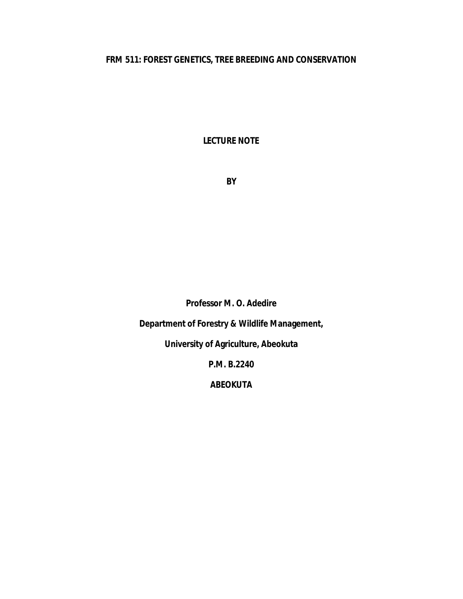# **FRM 511: FOREST GENETICS, TREE BREEDING AND CONSERVATION**

**LECTURE NOTE**

**BY**

**Professor M. O. Adedire**

**Department of Forestry & Wildlife Management,**

**University of Agriculture, Abeokuta**

**P.M. B.2240**

**ABEOKUTA**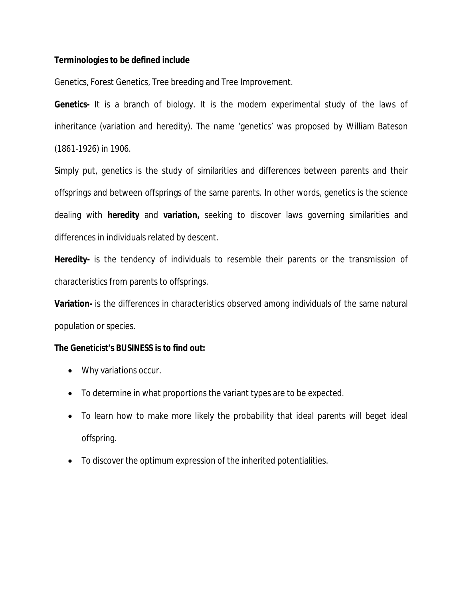## **Terminologies to be defined include**

Genetics, Forest Genetics, Tree breeding and Tree Improvement.

**Genetics-** It is a branch of biology. It is the modern experimental study of the laws of inheritance (variation and heredity). The name 'genetics' was proposed by William Bateson (1861-1926) in 1906.

Simply put, genetics is the study of similarities and differences between parents and their offsprings and between offsprings of the same parents. In other words, genetics is the science dealing with **heredity** and **variation,** seeking to discover laws governing similarities and differences in individuals related by descent.

**Heredity-** is the tendency of individuals to resemble their parents or the transmission of characteristics from parents to offsprings.

**Variation-** is the differences in characteristics observed among individuals of the same natural population or species.

## **The Geneticist's BUSINESS is to find out:**

- Why variations occur.
- To determine in what proportions the variant types are to be expected.
- To learn how to make more likely the probability that ideal parents will beget ideal offspring.
- To discover the optimum expression of the inherited potentialities.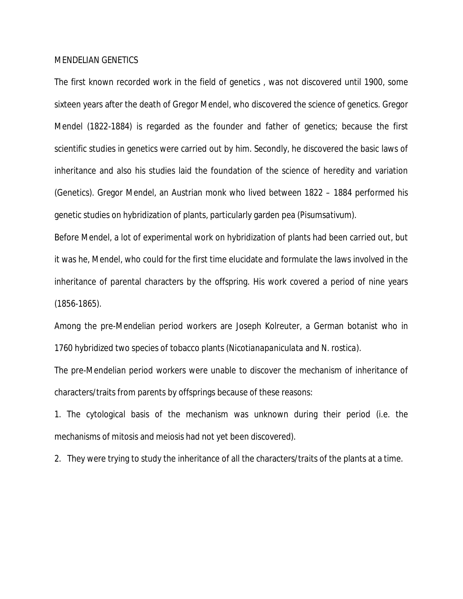#### MENDELIAN GENETICS

The first known recorded work in the field of genetics , was not discovered until 1900, some sixteen years after the death of Gregor Mendel, who discovered the science of genetics. Gregor Mendel (1822-1884) is regarded as the founder and father of genetics; because the first scientific studies in genetics were carried out by him. Secondly, he discovered the basic laws of inheritance and also his studies laid the foundation of the science of heredity and variation (Genetics). Gregor Mendel, an Austrian monk who lived between 1822 – 1884 performed his genetic studies on hybridization of plants, particularly garden pea (*Pisumsativum*).

Before Mendel, a lot of experimental work on hybridization of plants had been carried out, but it was he, Mendel, who could for the first time elucidate and formulate the laws involved in the inheritance of parental characters by the offspring. His work covered a period of nine years (1856-1865).

Among the pre-Mendelian period workers are Joseph Kolreuter, a German botanist who in 1760 hybridized two species of tobacco plants (*Nicotianapaniculata* and *N. rostica*).

The pre-Mendelian period workers were unable to discover the mechanism of inheritance of characters/traits from parents by offsprings because of these reasons:

1. The cytological basis of the mechanism was unknown during their period (i.e. the mechanisms of mitosis and meiosis had not yet been discovered).

2. They were trying to study the inheritance of all the characters/traits of the plants at a time.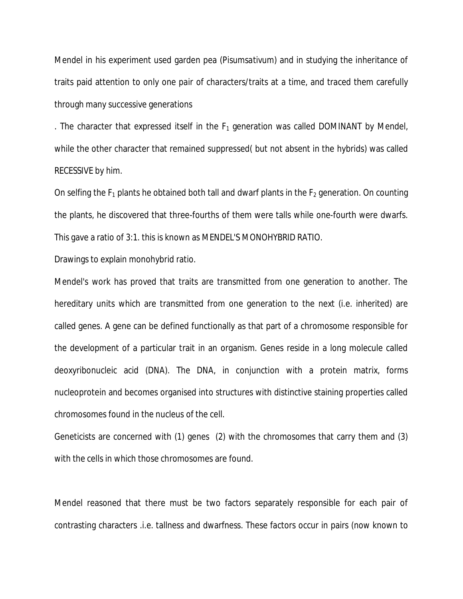Mendel in his experiment used garden pea (*Pisumsativum*) and in studying the inheritance of traits paid attention to only one pair of characters/traits at a time, and traced them carefully through many successive generations

. The character that expressed itself in the  $F_1$  generation was called DOMINANT by Mendel, while the other character that remained suppressed( but not absent in the hybrids) was called RECESSIVE by him.

On selfing the  $F_1$  plants he obtained both tall and dwarf plants in the  $F_2$  generation. On counting the plants, he discovered that three-fourths of them were talls while one-fourth were dwarfs. This gave a ratio of 3:1. this is known as MENDEL'S MONOHYBRID RATIO.

Drawings to explain monohybrid ratio.

Mendel's work has proved that traits are transmitted from one generation to another. The hereditary units which are transmitted from one generation to the next (i.e. inherited) are called genes. A gene can be defined functionally as that part of a chromosome responsible for the development of a particular trait in an organism. Genes reside in a long molecule called deoxyribonucleic acid (DNA). The DNA, in conjunction with a protein matrix, forms nucleoprotein and becomes organised into structures with distinctive staining properties called chromosomes found in the nucleus of the cell.

Geneticists are concerned with (1) genes (2) with the chromosomes that carry them and (3) with the cells in which those chromosomes are found.

Mendel reasoned that there must be two factors separately responsible for each pair of contrasting characters .i.e. tallness and dwarfness. These factors occur in pairs (now known to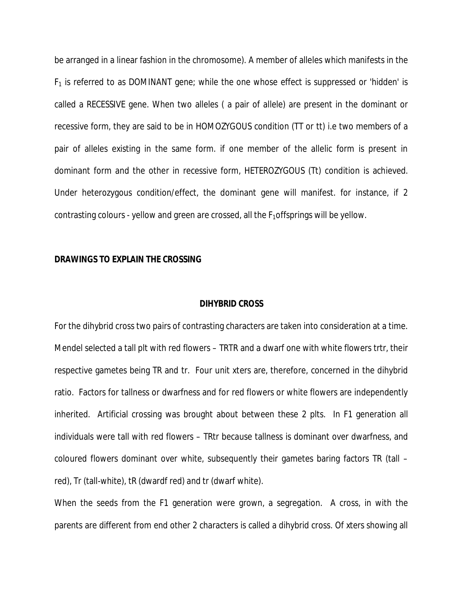be arranged in a linear fashion in the chromosome). A member of alleles which manifests in the  $F_1$  is referred to as DOMINANT gene; while the one whose effect is suppressed or 'hidden' is called a RECESSIVE gene. When two alleles ( a pair of allele) are present in the dominant or recessive form, they are said to be in HOMOZYGOUS condition (TT or tt) i.e two members of a pair of alleles existing in the same form. if one member of the allelic form is present in dominant form and the other in recessive form, HETEROZYGOUS (Tt) condition is achieved. Under heterozygous condition/effect, the dominant gene will manifest. for instance, if 2 contrasting colours - yellow and green are crossed, all the  $F_1$ offsprings will be yellow.

### **DRAWINGS TO EXPLAIN THE CROSSING**

## **DIHYBRID CROSS**

For the dihybrid cross two pairs of contrasting characters are taken into consideration at a time. Mendel selected a tall plt with red flowers – TRTR and a dwarf one with white flowers trtr, their respective gametes being TR and tr. Four unit xters are, therefore, concerned in the dihybrid ratio. Factors for tallness or dwarfness and for red flowers or white flowers are independently inherited. Artificial crossing was brought about between these 2 plts. In F1 generation all individuals were tall with red flowers – TRtr because tallness is dominant over dwarfness, and coloured flowers dominant over white, subsequently their gametes baring factors TR (tall – red), Tr (tall-white), tR (dwardf red) and tr (dwarf white).

When the seeds from the F1 generation were grown, a segregation. A cross, in with the parents are different from end other 2 characters is called a dihybrid cross. Of xters showing all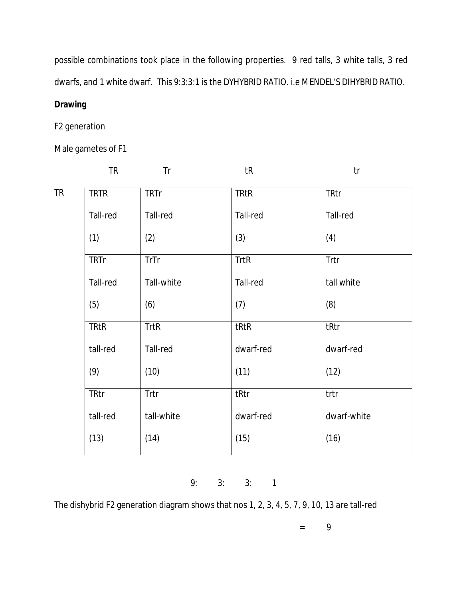possible combinations took place in the following properties. 9 red talls, 3 white talls, 3 red dwarfs, and 1 white dwarf. This 9:3:3:1 is the DYHYBRID RATIO. i.e MENDEL'S DIHYBRID RATIO.

# **Drawing**

# F2 generation

Male gametes of F1

|    | <b>TR</b>   | Tr          | tR          | tr          |
|----|-------------|-------------|-------------|-------------|
| TR | <b>TRTR</b> | <b>TRTr</b> | <b>TRtR</b> | <b>TRtr</b> |
|    | Tall-red    | Tall-red    | Tall-red    | Tall-red    |
|    | (1)         | (2)         | (3)         | (4)         |
|    | <b>TRTr</b> | TrTr        | <b>TrtR</b> | Trtr        |
|    | Tall-red    | Tall-white  | Tall-red    | tall white  |
|    | (5)         | (6)         | (7)         | (8)         |
|    | <b>TRtR</b> | <b>TrtR</b> | tRtR        | tRtr        |
|    | tall-red    | Tall-red    | dwarf-red   | dwarf-red   |
|    | (9)         | (10)        | (11)        | (12)        |
|    | TRtr        | Trtr        | tRtr        | trtr        |
|    | tall-red    | tall-white  | dwarf-red   | dwarf-white |
|    | (13)        | (14)        | (15)        | (16)        |

9: 3: 3: 1

The dishybrid F2 generation diagram shows that nos 1, 2, 3, 4, 5, 7, 9, 10, 13 are tall-red

= 9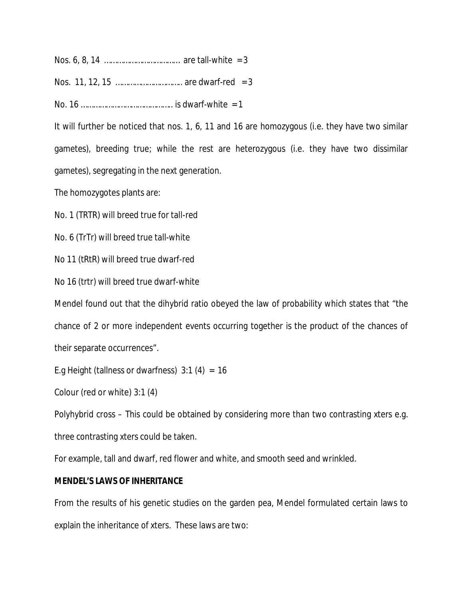Nos. 6, 8, 14 ……………………………… are tall-white = 3

Nos. 11, 12, 15 ………………………….. are dwarf-red = 3

No. 16 …………………………………….. is dwarf-white = 1

It will further be noticed that nos. 1, 6, 11 and 16 are homozygous (i.e. they have two similar gametes), breeding true; while the rest are heterozygous (i.e. they have two dissimilar gametes), segregating in the next generation.

The homozygotes plants are:

No. 1 (TRTR) will breed true for tall-red

No. 6 (TrTr) will breed true tall-white

No 11 (tRtR) will breed true dwarf-red

No 16 (trtr) will breed true dwarf-white

Mendel found out that the dihybrid ratio obeyed the law of probability which states that "the chance of 2 or more independent events occurring together is the product of the chances of their separate occurrences".

E.g Height (tallness or dwarfness)  $3:1$  (4) = 16

Colour (red or white) 3:1 (4)

Polyhybrid cross – This could be obtained by considering more than two contrasting xters e.g. three contrasting xters could be taken.

For example, tall and dwarf, red flower and white, and smooth seed and wrinkled.

## **MENDEL'S LAWS OF INHERITANCE**

From the results of his genetic studies on the garden pea, Mendel formulated certain laws to explain the inheritance of xters. These laws are two: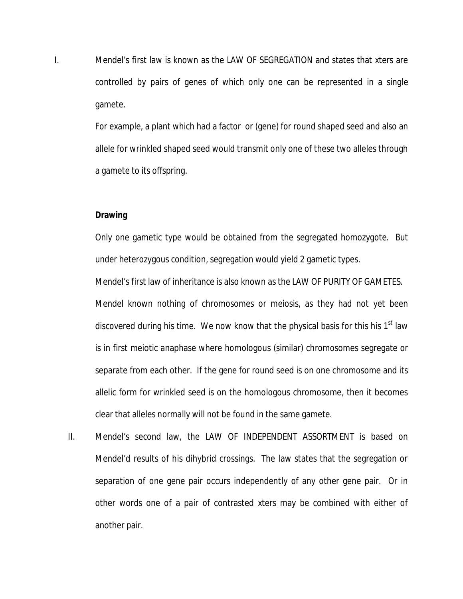I. Mendel's first law is known as the LAW OF SEGREGATION and states that xters are controlled by pairs of genes of which only one can be represented in a single gamete.

> For example, a plant which had a factor or (gene) for round shaped seed and also an allele for wrinkled shaped seed would transmit only one of these two alleles through a gamete to its offspring.

#### **Drawing**

Only one gametic type would be obtained from the segregated homozygote. But under heterozygous condition, segregation would yield 2 gametic types.

Mendel's first law of inheritance is also known as the LAW OF PURITY OF GAMETES. Mendel known nothing of chromosomes or meiosis, as they had not yet been discovered during his time. We now know that the physical basis for this his 1<sup>st</sup> law is in first meiotic anaphase where homologous (similar) chromosomes segregate or separate from each other. If the gene for round seed is on one chromosome and its allelic form for wrinkled seed is on the homologous chromosome, then it becomes clear that alleles normally will not be found in the same gamete.

II. Mendel's second law, the LAW OF INDEPENDENT ASSORTMENT is based on Mendel'd results of his dihybrid crossings. The law states that the segregation or separation of one gene pair occurs independently of any other gene pair. Or in other words one of a pair of contrasted xters may be combined with either of another pair.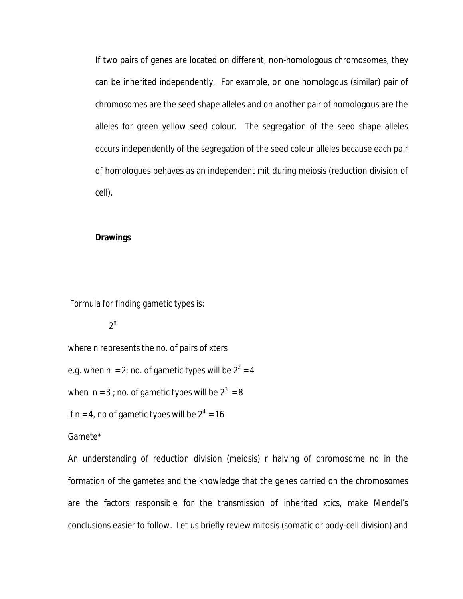If two pairs of genes are located on different, non-homologous chromosomes, they can be inherited independently. For example, on one homologous (similar) pair of chromosomes are the seed shape alleles and on another pair of homologous are the alleles for green yellow seed colour. The segregation of the seed shape alleles occurs independently of the segregation of the seed colour alleles because each pair of homologues behaves as an independent mit during meiosis (reduction division of cell).

### **Drawings**

Formula for finding gametic types is:

 $2<sup>n</sup>$ 

where n represents the no. of pairs of xters

e.g. when  $n = 2$ ; no. of gametic types will be  $2^2 = 4$ 

when n = 3 ; no. of gametic types will be  $2^3$  = 8

If  $n = 4$ , no of gametic types will be  $2^4 = 16$ 

Gamete\*

An understanding of reduction division (meiosis) r halving of chromosome no in the formation of the gametes and the knowledge that the genes carried on the chromosomes are the factors responsible for the transmission of inherited xtics, make Mendel's conclusions easier to follow. Let us briefly review mitosis (somatic or body-cell division) and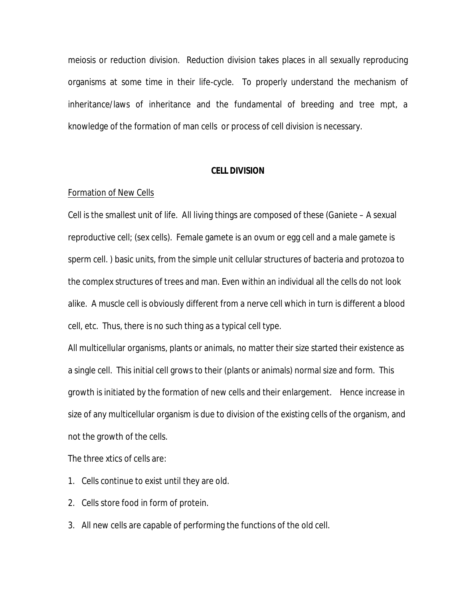meiosis or reduction division. Reduction division takes places in all sexually reproducing organisms at some time in their life-cycle. To properly understand the mechanism of inheritance/laws of inheritance and the fundamental of breeding and tree mpt, a knowledge of the formation of man cells or process of cell division is necessary.

### **CELL DIVISION**

#### Formation of New Cells

Cell is the smallest unit of life. All living things are composed of these (Ganiete – A sexual reproductive cell; (sex cells). Female gamete is an ovum or egg cell and a male gamete is sperm cell. ) basic units, from the simple unit cellular structures of bacteria and protozoa to the complex structures of trees and man. Even within an individual all the cells do not look alike. A muscle cell is obviously different from a nerve cell which in turn is different a blood cell, etc. Thus, there is no such thing as a typical cell type.

All multicellular organisms, plants or animals, no matter their size started their existence as a single cell. This initial cell grows to their (plants or animals) normal size and form. This growth is initiated by the formation of new cells and their enlargement. Hence increase in size of any multicellular organism is due to division of the existing cells of the organism, and not the growth of the cells.

The three xtics of cells are:

- 1. Cells continue to exist until they are old.
- 2. Cells store food in form of protein.
- 3. All new cells are capable of performing the functions of the old cell.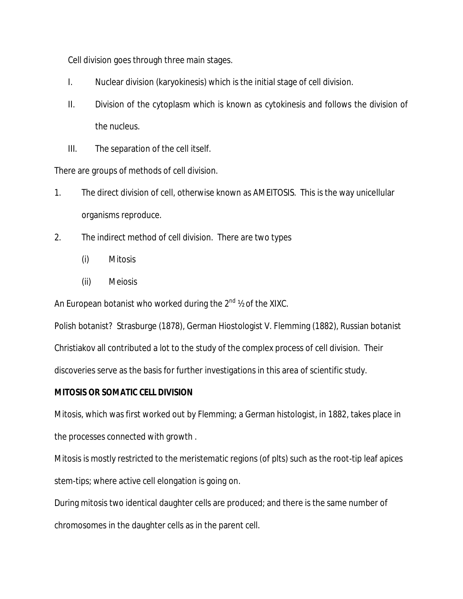Cell division goes through three main stages.

- I. Nuclear division (karyokinesis) which is the initial stage of cell division.
- II. Division of the cytoplasm which is known as cytokinesis and follows the division of the nucleus.
- III. The separation of the cell itself.

There are groups of methods of cell division.

- 1. The direct division of cell, otherwise known as AMEITOSIS. This is the way unicellular organisms reproduce.
- 2. The indirect method of cell division. There are two types
	- (i) Mitosis
	- (ii) Meiosis

An European botanist who worked during the  $2^{nd}$   $\frac{1}{2}$  of the XIXC.

Polish botanist? Strasburge (1878), German Hiostologist V. Flemming (1882), Russian botanist Christiakov all contributed a lot to the study of the complex process of cell division. Their discoveries serve as the basis for further investigations in this area of scientific study.

## **MITOSIS OR SOMATIC CELL DIVISION**

Mitosis, which was first worked out by Flemming; a German histologist, in 1882, takes place in the processes connected with growth .

Mitosis is mostly restricted to the meristematic regions (of plts) such as the root-tip leaf apices stem-tips; where active cell elongation is going on.

During mitosis two identical daughter cells are produced; and there is the same number of chromosomes in the daughter cells as in the parent cell.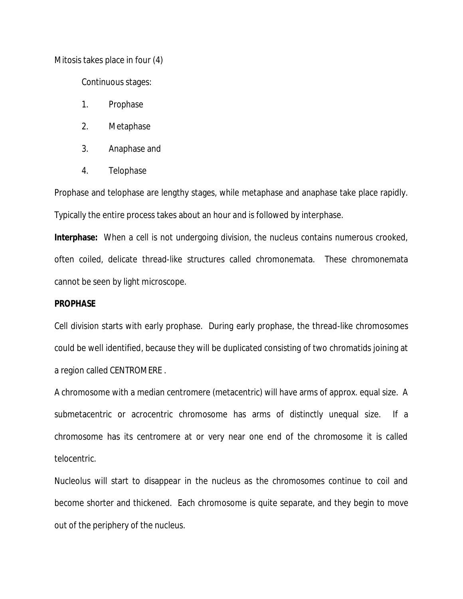Mitosis takes place in four (4)

Continuous stages:

- 1. Prophase
- 2. Metaphase
- 3. Anaphase and
- 4. Telophase

Prophase and telophase are lengthy stages, while metaphase and anaphase take place rapidly. Typically the entire process takes about an hour and is followed by interphase.

**Interphase:** When a cell is not undergoing division, the nucleus contains numerous crooked, often coiled, delicate thread-like structures called chromonemata. These chromonemata cannot be seen by light microscope.

### **PROPHASE**

Cell division starts with early prophase. During early prophase, the thread-like chromosomes could be well identified, because they will be duplicated consisting of two chromatids joining at a region called CENTROMERE .

A chromosome with a median centromere (metacentric) will have arms of approx. equal size. A submetacentric or acrocentric chromosome has arms of distinctly unequal size. If a chromosome has its centromere at or very near one end of the chromosome it is called telocentric.

Nucleolus will start to disappear in the nucleus as the chromosomes continue to coil and become shorter and thickened. Each chromosome is quite separate, and they begin to move out of the periphery of the nucleus.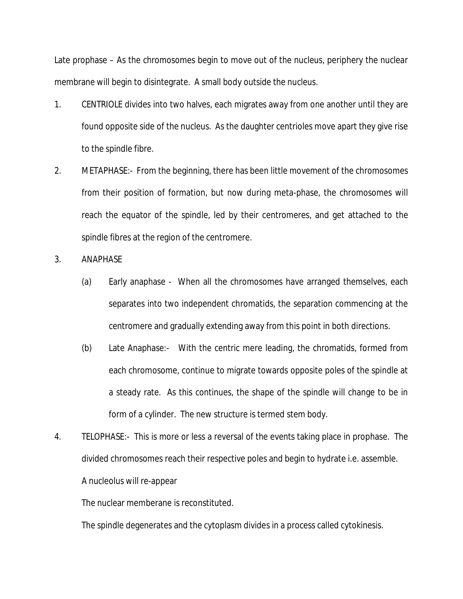Late prophase – As the chromosomes begin to move out of the nucleus, periphery the nuclear membrane will begin to disintegrate. A small body outside the nucleus.

- 1. CENTRIOLE divides into two halves, each migrates away from one another until they are found opposite side of the nucleus. As the daughter centrioles move apart they give rise to the spindle fibre.
- 2. METAPHASE:- From the beginning, there has been little movement of the chromosomes from their position of formation, but now during meta-phase, the chromosomes will reach the equator of the spindle, led by their centromeres, and get attached to the spindle fibres at the region of the centromere.
- 3. ANAPHASE
	- (a) Early anaphase When all the chromosomes have arranged themselves, each separates into two independent chromatids, the separation commencing at the centromere and gradually extending away from this point in both directions.
	- (b) Late Anaphase:- With the centric mere leading, the chromatids, formed from each chromosome, continue to migrate towards opposite poles of the spindle at a steady rate. As this continues, the shape of the spindle will change to be in form of a cylinder. The new structure is termed stem body.
- 4. TELOPHASE:- This is more or less a reversal of the events taking place in prophase. The divided chromosomes reach their respective poles and begin to hydrate i.e. assemble. A nucleolus will re-appear

The nuclear memberane is reconstituted.

The spindle degenerates and the cytoplasm divides in a process called cytokinesis.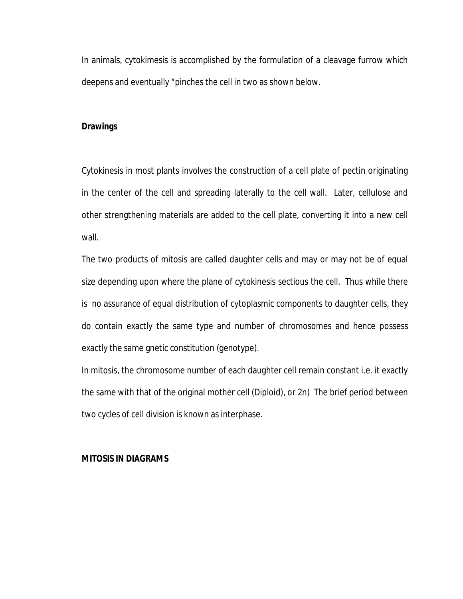In animals, cytokimesis is accomplished by the formulation of a cleavage furrow which deepens and eventually "pinches the cell in two as shown below.

## **Drawings**

Cytokinesis in most plants involves the construction of a cell plate of pectin originating in the center of the cell and spreading laterally to the cell wall. Later, cellulose and other strengthening materials are added to the cell plate, converting it into a new cell wall.

The two products of mitosis are called daughter cells and may or may not be of equal size depending upon where the plane of cytokinesis sectious the cell. Thus while there is no assurance of equal distribution of cytoplasmic components to daughter cells, they do contain exactly the same type and number of chromosomes and hence possess exactly the same gnetic constitution (genotype).

In mitosis, the chromosome number of each daughter cell remain constant i.e. it exactly the same with that of the original mother cell (Diploid), or 2n) The brief period between two cycles of cell division is known as interphase.

### **MITOSIS IN DIAGRAMS**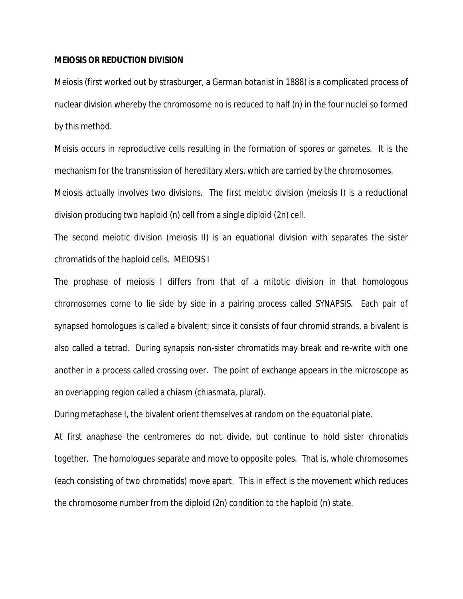#### **MEIOSIS OR REDUCTION DIVISION**

Meiosis (first worked out by strasburger, a German botanist in 1888) is a complicated process of nuclear division whereby the chromosome no is reduced to half (n) in the four nuclei so formed by this method.

Meisis occurs in reproductive cells resulting in the formation of spores or gametes. It is the mechanism for the transmission of hereditary xters, which are carried by the chromosomes. Meiosis actually involves two divisions. The first meiotic division (meiosis I) is a reductional

division producing two haploid (n) cell from a single diploid (2n) cell.

The second meiotic division (meiosis II) is an equational division with separates the sister chromatids of the haploid cells. MEIOSIS I

The prophase of meiosis I differs from that of a mitotic division in that homologous chromosomes come to lie side by side in a pairing process called SYNAPSIS. Each pair of synapsed homologues is called a bivalent; since it consists of four chromid strands, a bivalent is also called a tetrad. During synapsis non-sister chromatids may break and re-write with one another in a process called crossing over. The point of exchange appears in the microscope as an overlapping region called a chiasm (chiasmata, plural).

During metaphase I, the bivalent orient themselves at random on the equatorial plate.

At first anaphase the centromeres do not divide, but continue to hold sister chronatids together. The homologues separate and move to opposite poles. That is, whole chromosomes (each consisting of two chromatids) move apart. This in effect is the movement which reduces the chromosome number from the diploid (2n) condition to the haploid (n) state.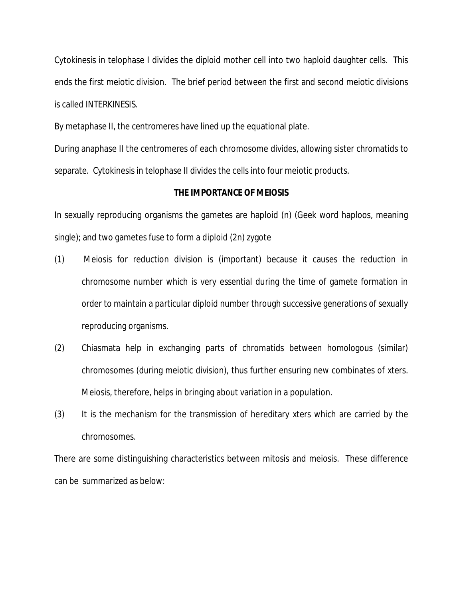Cytokinesis in telophase I divides the diploid mother cell into two haploid daughter cells. This ends the first meiotic division. The brief period between the first and second meiotic divisions is called INTERKINESIS.

By metaphase II, the centromeres have lined up the equational plate.

During anaphase II the centromeres of each chromosome divides, allowing sister chromatids to separate. Cytokinesis in telophase II divides the cells into four meiotic products.

## **THE IMPORTANCE OF MEIOSIS**

In sexually reproducing organisms the gametes are haploid (n) (Geek word haploos, meaning single); and two gametes fuse to form a diploid (2n) zygote

- (1) Meiosis for reduction division is (important) because it causes the reduction in chromosome number which is very essential during the time of gamete formation in order to maintain a particular diploid number through successive generations of sexually reproducing organisms.
- (2) Chiasmata help in exchanging parts of chromatids between homologous (similar) chromosomes (during meiotic division), thus further ensuring new combinates of xters. Meiosis, therefore, helps in bringing about variation in a population.
- (3) It is the mechanism for the transmission of hereditary xters which are carried by the chromosomes.

There are some distinguishing characteristics between mitosis and meiosis. These difference can be summarized as below: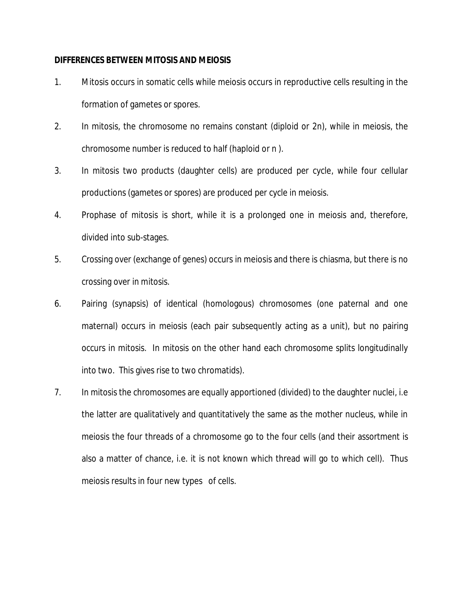### **DIFFERENCES BETWEEN MITOSIS AND MEIOSIS**

- 1. Mitosis occurs in somatic cells while meiosis occurs in reproductive cells resulting in the formation of gametes or spores.
- 2. In mitosis, the chromosome no remains constant (diploid or 2n), while in meiosis, the chromosome number is reduced to half (haploid or n ).
- 3. In mitosis two products (daughter cells) are produced per cycle, while four cellular productions (gametes or spores) are produced per cycle in meiosis.
- 4. Prophase of mitosis is short, while it is a prolonged one in meiosis and, therefore, divided into sub-stages.
- 5. Crossing over (exchange of genes) occurs in meiosis and there is chiasma, but there is no crossing over in mitosis.
- 6. Pairing (synapsis) of identical (homologous) chromosomes (one paternal and one maternal) occurs in meiosis (each pair subsequently acting as a unit), but no pairing occurs in mitosis. In mitosis on the other hand each chromosome splits longitudinally into two. This gives rise to two chromatids).
- 7. In mitosis the chromosomes are equally apportioned (divided) to the daughter nuclei, i.e the latter are qualitatively and quantitatively the same as the mother nucleus, while in meiosis the four threads of a chromosome go to the four cells (and their assortment is also a matter of chance, i.e. it is not known which thread will go to which cell). Thus meiosis results in four new types of cells.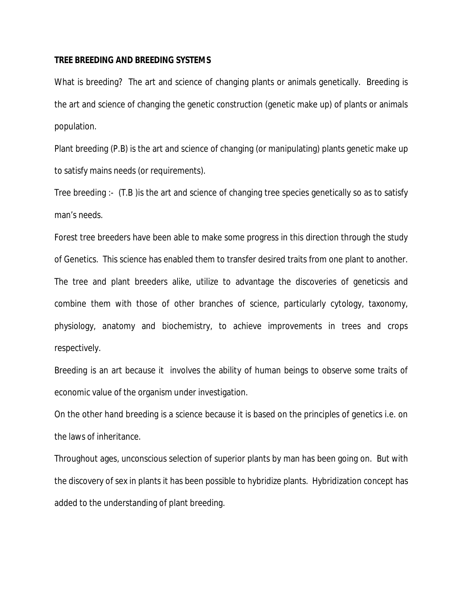### **TREE BREEDING AND BREEDING SYSTEMS**

What is breeding? The art and science of changing plants or animals genetically. Breeding is the art and science of changing the genetic construction (genetic make up) of plants or animals population.

Plant breeding (P.B) is the art and science of changing (or manipulating) plants genetic make up to satisfy mains needs (or requirements).

Tree breeding :- (T.B )is the art and science of changing tree species genetically so as to satisfy man's needs.

Forest tree breeders have been able to make some progress in this direction through the study of Genetics. This science has enabled them to transfer desired traits from one plant to another. The tree and plant breeders alike, utilize to advantage the discoveries of geneticsis and combine them with those of other branches of science, particularly cytology, taxonomy, physiology, anatomy and biochemistry, to achieve improvements in trees and crops respectively.

Breeding is an art because it involves the ability of human beings to observe some traits of economic value of the organism under investigation.

On the other hand breeding is a science because it is based on the principles of genetics i.e. on the laws of inheritance.

Throughout ages, unconscious selection of superior plants by man has been going on. But with the discovery of sex in plants it has been possible to hybridize plants. Hybridization concept has added to the understanding of plant breeding.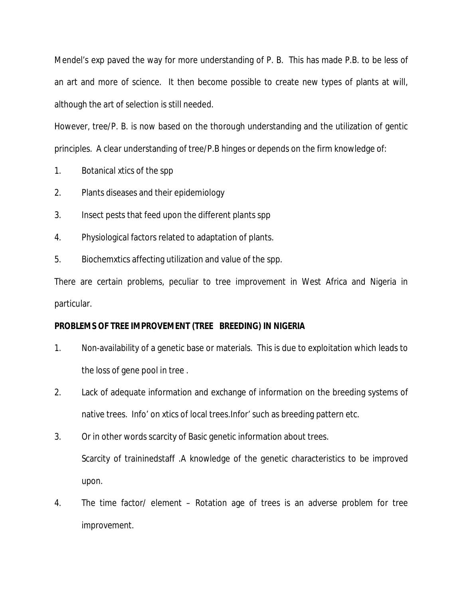Mendel's exp paved the way for more understanding of P. B. This has made P.B. to be less of an art and more of science. It then become possible to create new types of plants at will, although the art of selection is still needed.

However, tree/P. B. is now based on the thorough understanding and the utilization of gentic principles. A clear understanding of tree/P.B hinges or depends on the firm knowledge of:

- 1. Botanical xtics of the spp
- 2. Plants diseases and their epidemiology
- 3. Insect pests that feed upon the different plants spp
- 4. Physiological factors related to adaptation of plants.
- 5. Biochemxtics affecting utilization and value of the spp.

There are certain problems, peculiar to tree improvement in West Africa and Nigeria in particular.

# **PROBLEMS OF TREE IMPROVEMENT (TREE BREEDING) IN NIGERIA**

- 1. Non-availability of a genetic base or materials. This is due to exploitation which leads to the loss of gene pool in tree .
- 2. Lack of adequate information and exchange of information on the breeding systems of native trees. Info' on xtics of local trees.Infor' such as breeding pattern etc.
- 3. Or in other words scarcity of Basic genetic information about trees. Scarcity of traininedstaff .A knowledge of the genetic characteristics to be improved upon.
- 4. The time factor/ element Rotation age of trees is an adverse problem for tree improvement.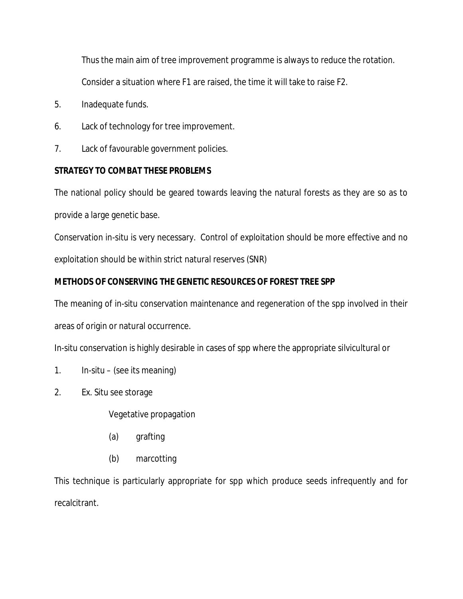Thus the main aim of tree improvement programme is always to reduce the rotation. Consider a situation where F1 are raised, the time it will take to raise F2.

- 5. Inadequate funds.
- 6. Lack of technology for tree improvement.
- 7. Lack of favourable government policies.

# **STRATEGY TO COMBAT THESE PROBLEMS**

The national policy should be geared towards leaving the natural forests as they are so as to provide a large genetic base.

Conservation in-situ is very necessary. Control of exploitation should be more effective and no exploitation should be within strict natural reserves (SNR)

# **METHODS OF CONSERVING THE GENETIC RESOURCES OF FOREST TREE SPP**

The meaning of in-situ conservation maintenance and regeneration of the spp involved in their areas of origin or natural occurrence.

In-situ conservation is highly desirable in cases of spp where the appropriate silvicultural or

- 1. In-situ (see its meaning)
- 2. Ex. Situ see storage

Vegetative propagation

- (a) grafting
- (b) marcotting

This technique is particularly appropriate for spp which produce seeds infrequently and for recalcitrant.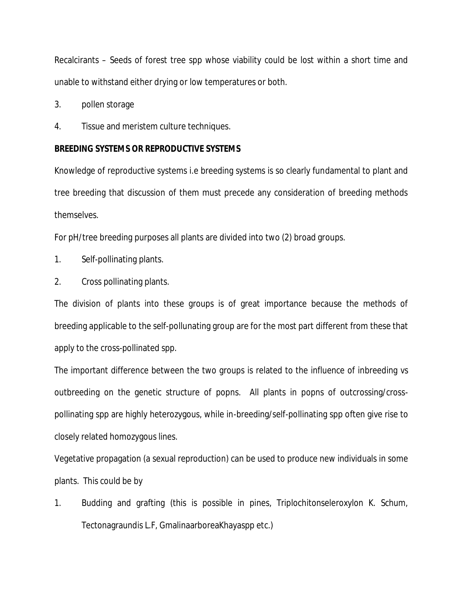Recalcirants – Seeds of forest tree spp whose viability could be lost within a short time and unable to withstand either drying or low temperatures or both.

3. pollen storage

4. Tissue and meristem culture techniques.

#### **BREEDING SYSTEMS OR REPRODUCTIVE SYSTEMS**

Knowledge of reproductive systems i.e breeding systems is so clearly fundamental to plant and tree breeding that discussion of them must precede any consideration of breeding methods themselves.

For pH/tree breeding purposes all plants are divided into two (2) broad groups.

- 1. Self-pollinating plants.
- 2. Cross pollinating plants.

The division of plants into these groups is of great importance because the methods of breeding applicable to the self-pollunating group are for the most part different from these that apply to the cross-pollinated spp.

The important difference between the two groups is related to the influence of inbreeding vs outbreeding on the genetic structure of popns. All plants in popns of outcrossing/crosspollinating spp are highly heterozygous, while in-breeding/self-pollinating spp often give rise to closely related homozygous lines.

Vegetative propagation (a sexual reproduction) can be used to produce new individuals in some plants. This could be by

1. Budding and grafting (this is possible in pines, Triplochitonseleroxylon K. Schum, Tectonagraundis L.F, GmalinaarboreaKhayaspp etc.)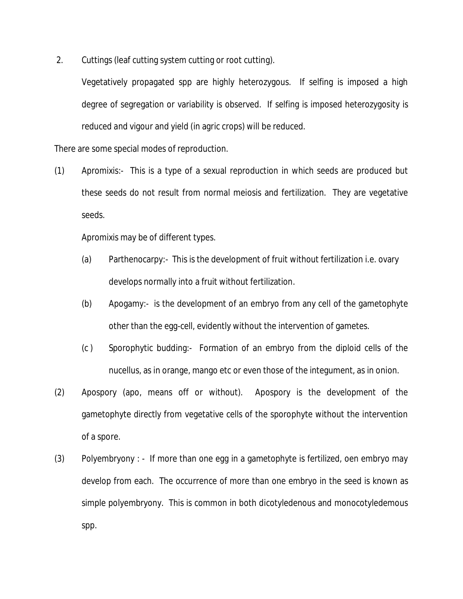2. Cuttings (leaf cutting system cutting or root cutting).

Vegetatively propagated spp are highly heterozygous. If selfing is imposed a high degree of segregation or variability is observed. If selfing is imposed heterozygosity is reduced and vigour and yield (in agric crops) will be reduced.

There are some special modes of reproduction.

(1) Apromixis:- This is a type of a sexual reproduction in which seeds are produced but these seeds do not result from normal meiosis and fertilization. They are vegetative seeds.

Apromixis may be of different types.

- (a) Parthenocarpy:- This is the development of fruit without fertilization i.e. ovary develops normally into a fruit without fertilization.
- (b) Apogamy:- is the development of an embryo from any cell of the gametophyte other than the egg-cell, evidently without the intervention of gametes.
- (c ) Sporophytic budding:- Formation of an embryo from the diploid cells of the nucellus, as in orange, mango etc or even those of the integument, as in onion.
- (2) Apospory (apo, means off or without). Apospory is the development of the gametophyte directly from vegetative cells of the sporophyte without the intervention of a spore.
- (3) Polyembryony : If more than one egg in a gametophyte is fertilized, oen embryo may develop from each. The occurrence of more than one embryo in the seed is known as simple polyembryony. This is common in both dicotyledenous and monocotyledemous spp.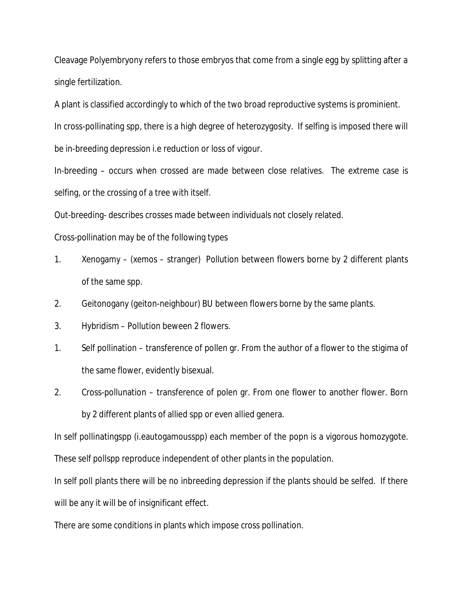Cleavage Polyembryony refers to those embryos that come from a single egg by splitting after a single fertilization.

A plant is classified accordingly to which of the two broad reproductive systems is prominient.

In cross-pollinating spp, there is a high degree of heterozygosity. If selfing is imposed there will be in-breeding depression i.e reduction or loss of vigour.

In-breeding – occurs when crossed are made between close relatives. The extreme case is selfing, or the crossing of a tree with itself.

Out-breeding- describes crosses made between individuals not closely related.

Cross-pollination may be of the following types

- 1. Xenogamy (xemos stranger) Pollution between flowers borne by 2 different plants of the same spp.
- 2. Geitonogany (geiton-neighbour) BU between flowers borne by the same plants.
- 3. Hybridism Pollution beween 2 flowers.
- 1. Self pollination transference of pollen gr. From the author of a flower to the stigima of the same flower, evidently bisexual.
- 2. Cross-pollunation transference of polen gr. From one flower to another flower. Born by 2 different plants of allied spp or even allied genera.

In self pollinatingspp (i.eautogamousspp) each member of the popn is a vigorous homozygote. These self pollspp reproduce independent of other plants in the population.

In self poll plants there will be no inbreeding depression if the plants should be selfed. If there will be any it will be of insignificant effect.

There are some conditions in plants which impose cross pollination.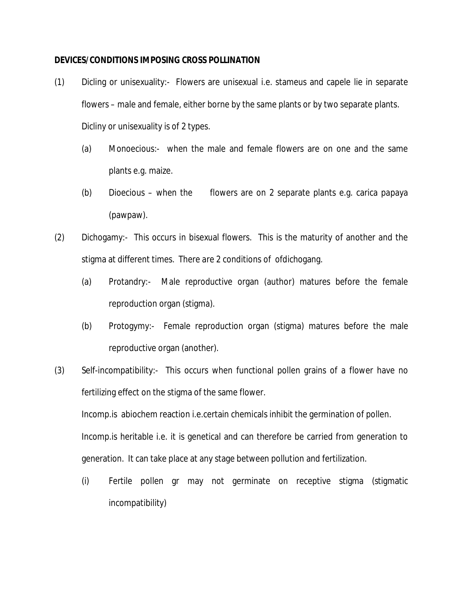### **DEVICES/CONDITIONS IMPOSING CROSS POLLINATION**

- (1) Dicling or unisexuality:- Flowers are unisexual i.e. stameus and capele lie in separate flowers – male and female, either borne by the same plants or by two separate plants. Dicliny or unisexuality is of 2 types.
	- (a) Monoecious:- when the male and female flowers are on one and the same plants e.g. maize.
	- (b) Dioecious when the flowers are on 2 separate plants e.g. carica papaya (pawpaw).
- (2) Dichogamy:- This occurs in bisexual flowers. This is the maturity of another and the stigma at different times. There are 2 conditions of ofdichogang.
	- (a) Protandry:- Male reproductive organ (author) matures before the female reproduction organ (stigma).
	- (b) Protogymy:- Female reproduction organ (stigma) matures before the male reproductive organ (another).
- (3) Self-incompatibility:- This occurs when functional pollen grains of a flower have no fertilizing effect on the stigma of the same flower.

Incomp.is abiochem reaction i.e.certain chemicals inhibit the germination of pollen. Incomp.is heritable i.e. it is genetical and can therefore be carried from generation to generation. It can take place at any stage between pollution and fertilization.

(i) Fertile pollen gr may not germinate on receptive stigma (stigmatic incompatibility)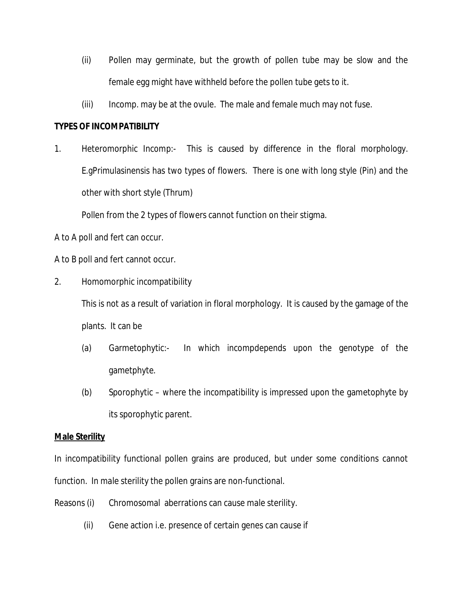- (ii) Pollen may germinate, but the growth of pollen tube may be slow and the female egg might have withheld before the pollen tube gets to it.
- (iii) Incomp. may be at the ovule. The male and female much may not fuse.

## **TYPES OF INCOMPATIBILITY**

1. Heteromorphic Incomp:- This is caused by difference in the floral morphology. E.gPrimulasinensis has two types of flowers. There is one with long style (Pin) and the other with short style (Thrum)

Pollen from the 2 types of flowers cannot function on their stigma.

A to A poll and fert can occur.

A to B poll and fert cannot occur.

2. Homomorphic incompatibility

This is not as a result of variation in floral morphology. It is caused by the gamage of the plants. It can be

- (a) Garmetophytic:- In which incompdepends upon the genotype of the gametphyte.
- (b) Sporophytic where the incompatibility is impressed upon the gametophyte by its sporophytic parent.

## **Male Sterility**

In incompatibility functional pollen grains are produced, but under some conditions cannot function. In male sterility the pollen grains are non-functional.

- Reasons (i) Chromosomal aberrations can cause male sterility.
	- (ii) Gene action i.e. presence of certain genes can cause if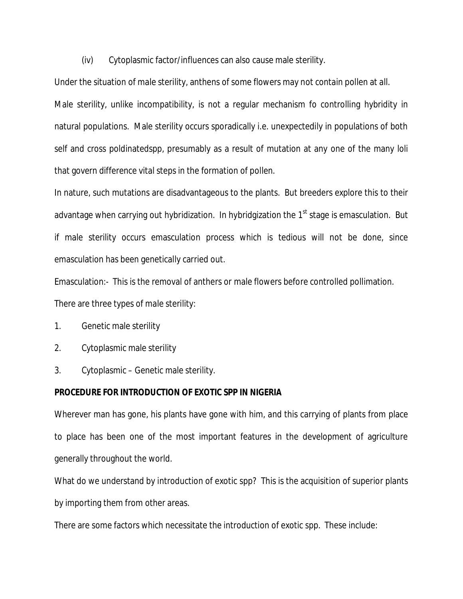(iv) Cytoplasmic factor/influences can also cause male sterility.

Under the situation of male sterility, anthens of some flowers may not contain pollen at all.

Male sterility, unlike incompatibility, is not a regular mechanism fo controlling hybridity in natural populations. Male sterility occurs sporadically i.e. unexpectedily in populations of both self and cross poldinatedspp, presumably as a result of mutation at any one of the many loli that govern difference vital steps in the formation of pollen.

In nature, such mutations are disadvantageous to the plants. But breeders explore this to their advantage when carrying out hybridization. In hybridgization the 1<sup>st</sup> stage is emasculation. But if male sterility occurs emasculation process which is tedious will not be done, since emasculation has been genetically carried out.

Emasculation:- This is the removal of anthers or male flowers before controlled pollimation. There are three types of male sterility:

- 1. Genetic male sterility
- 2. Cytoplasmic male sterility
- 3. Cytoplasmic Genetic male sterility.

## **PROCEDURE FOR INTRODUCTION OF EXOTIC SPP IN NIGERIA**

Wherever man has gone, his plants have gone with him, and this carrying of plants from place to place has been one of the most important features in the development of agriculture generally throughout the world.

What do we understand by introduction of exotic spp? This is the acquisition of superior plants by importing them from other areas.

There are some factors which necessitate the introduction of exotic spp. These include: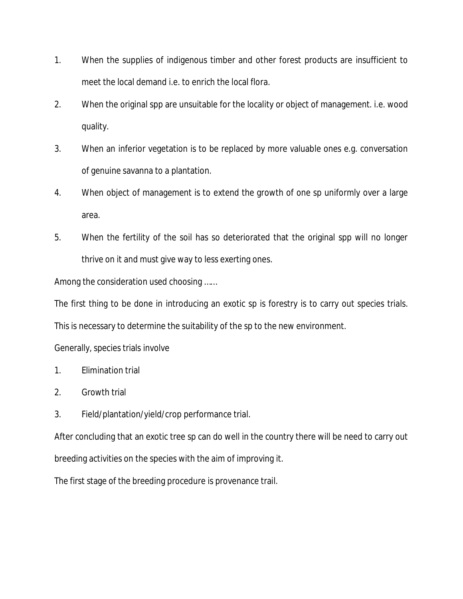- 1. When the supplies of indigenous timber and other forest products are insufficient to meet the local demand i.e. to enrich the local flora.
- 2. When the original spp are unsuitable for the locality or object of management. i.e. wood quality.
- 3. When an inferior vegetation is to be replaced by more valuable ones e.g. conversation of genuine savanna to a plantation.
- 4. When object of management is to extend the growth of one sp uniformly over a large area.
- 5. When the fertility of the soil has so deteriorated that the original spp will no longer thrive on it and must give way to less exerting ones.

Among the consideration used choosing ……

The first thing to be done in introducing an exotic sp is forestry is to carry out species trials.

This is necessary to determine the suitability of the sp to the new environment.

Generally, species trials involve

- 1. Elimination trial
- 2. Growth trial
- 3. Field/plantation/yield/crop performance trial.

After concluding that an exotic tree sp can do well in the country there will be need to carry out breeding activities on the species with the aim of improving it.

The first stage of the breeding procedure is provenance trail.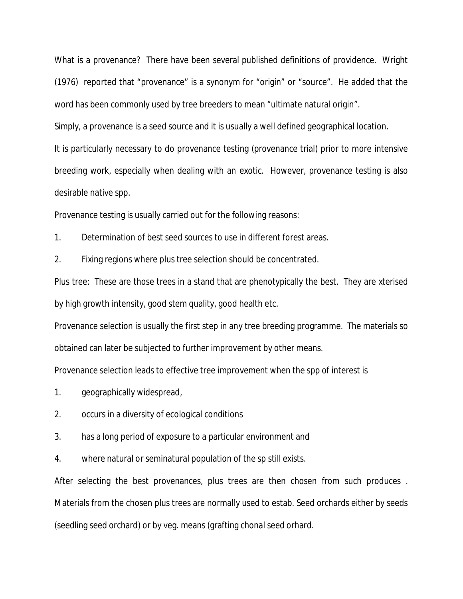What is a provenance? There have been several published definitions of providence. Wright (1976) reported that "provenance" is a synonym for "origin" or "source". He added that the word has been commonly used by tree breeders to mean "ultimate natural origin".

Simply, a provenance is a seed source and it is usually a well defined geographical location.

It is particularly necessary to do provenance testing (provenance trial) prior to more intensive breeding work, especially when dealing with an exotic. However, provenance testing is also desirable native spp.

Provenance testing is usually carried out for the following reasons:

1. Determination of best seed sources to use in different forest areas.

2. Fixing regions where plus tree selection should be concentrated.

Plus tree: These are those trees in a stand that are phenotypically the best. They are xterised by high growth intensity, good stem quality, good health etc.

Provenance selection is usually the first step in any tree breeding programme. The materials so obtained can later be subjected to further improvement by other means.

Provenance selection leads to effective tree improvement when the spp of interest is

- 1. geographically widespread,
- 2. occurs in a diversity of ecological conditions
- 3. has a long period of exposure to a particular environment and
- 4. where natural or seminatural population of the sp still exists.

After selecting the best provenances, plus trees are then chosen from such produces . Materials from the chosen plus trees are normally used to estab. Seed orchards either by seeds (seedling seed orchard) or by veg. means (grafting chonal seed orhard.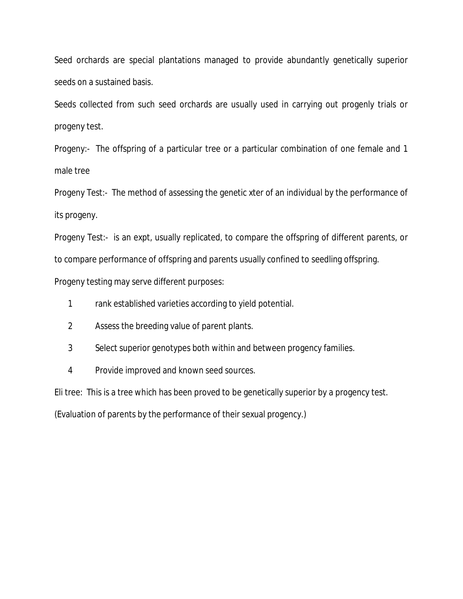Seed orchards are special plantations managed to provide abundantly genetically superior seeds on a sustained basis.

Seeds collected from such seed orchards are usually used in carrying out progenly trials or progeny test.

Progeny:- The offspring of a particular tree or a particular combination of one female and 1 male tree

Progeny Test:- The method of assessing the genetic xter of an individual by the performance of its progeny.

Progeny Test:- is an expt, usually replicated, to compare the offspring of different parents, or to compare performance of offspring and parents usually confined to seedling offspring.

Progeny testing may serve different purposes:

- 1 rank established varieties according to yield potential.
- 2 Assess the breeding value of parent plants.
- 3 Select superior genotypes both within and between progency families.
- 4 Provide improved and known seed sources.

Eli tree: This is a tree which has been proved to be genetically superior by a progency test.

(Evaluation of parents by the performance of their sexual progency.)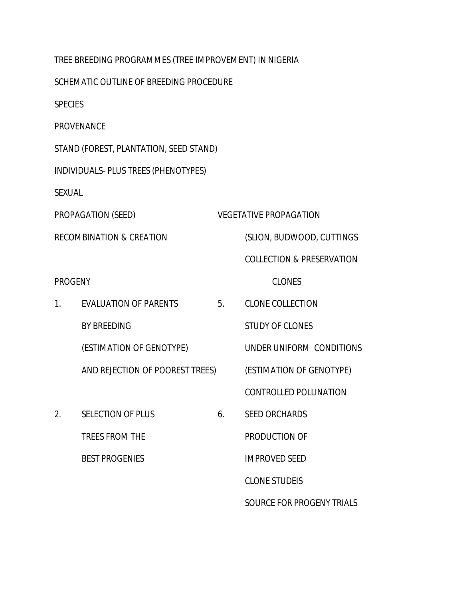|                                     | TREE BREEDING PROGRAMMES (TREE IMPROVEMENT) IN NIGERIA |    |                                      |  |
|-------------------------------------|--------------------------------------------------------|----|--------------------------------------|--|
|                                     | SCHEMATIC OUTLINE OF BREEDING PROCEDURE                |    |                                      |  |
| <b>SPECIES</b>                      |                                                        |    |                                      |  |
|                                     | <b>PROVENANCE</b>                                      |    |                                      |  |
|                                     | STAND (FOREST, PLANTATION, SEED STAND)                 |    |                                      |  |
|                                     | INDIVIDUALS- PLUS TREES (PHENOTYPES)                   |    |                                      |  |
| <b>SEXUAL</b>                       |                                                        |    |                                      |  |
| PROPAGATION (SEED)                  |                                                        |    | <b>VEGETATIVE PROPAGATION</b>        |  |
| <b>RECOMBINATION &amp; CREATION</b> |                                                        |    | (SLION, BUDWOOD, CUTTINGS            |  |
|                                     |                                                        |    | <b>COLLECTION &amp; PRESERVATION</b> |  |
| <b>PROGENY</b>                      |                                                        |    | <b>CLONES</b>                        |  |
| 1.                                  | <b>EVALUATION OF PARENTS</b>                           | 5. | <b>CLONE COLLECTION</b>              |  |
|                                     | <b>BY BREEDING</b>                                     |    | <b>STUDY OF CLONES</b>               |  |
|                                     | (ESTIMATION OF GENOTYPE)                               |    | UNDER UNIFORM CONDITIONS             |  |
|                                     | AND REJECTION OF POOREST TREES)                        |    | (ESTIMATION OF GENOTYPE)             |  |
|                                     |                                                        |    | <b>CONTROLLED POLLINATION</b>        |  |
| 2.                                  | <b>SELECTION OF PLUS</b>                               | 6. | <b>SEED ORCHARDS</b>                 |  |
|                                     | <b>TREES FROM THE</b>                                  |    | PRODUCTION OF                        |  |
|                                     | <b>BEST PROGENIES</b>                                  |    | <b>IMPROVED SEED</b>                 |  |
|                                     |                                                        |    | <b>CLONE STUDEIS</b>                 |  |
|                                     |                                                        |    | SOURCE FOR PROGENY TRIALS            |  |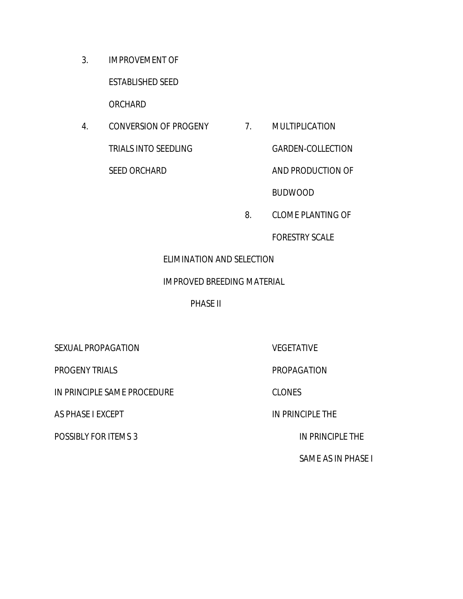3. IMPROVEMENT OF

ESTABLISHED SEED

ORCHARD

4. CONVERSION OF PROGENY 7. MULTIPLICATION TRIALS INTO SEEDLING GARDEN-COLLECTION SEED ORCHARD AND PRODUCTION OF

BUDWOOD

8. CLOME PLANTING OF

FORESTRY SCALE

## ELIMINATION AND SELECTION

## IMPROVED BREEDING MATERIAL

PHASE II

SEXUAL PROPAGATION VEGETATIVE

PROGENY TRIALS PROPAGATION

IN PRINCIPLE SAME PROCEDURE CLONES

AS PHASE I EXCEPT AND THE IN PRINCIPLE THE

POSSIBLY FOR ITEMS 3 IN PRINCIPLE THE

SAME AS IN PHASE I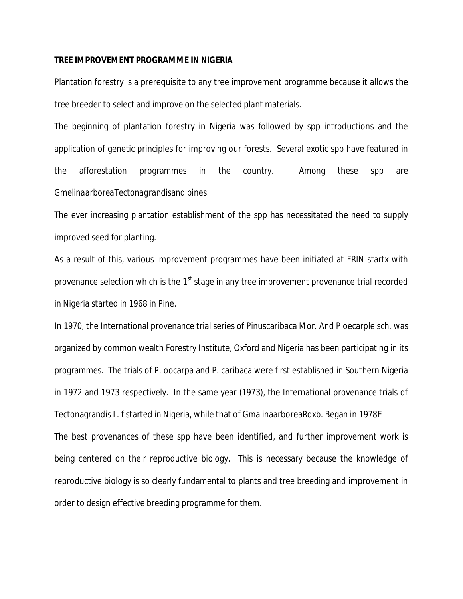#### **TREE IMPROVEMENT PROGRAMME IN NIGERIA**

Plantation forestry is a prerequisite to any tree improvement programme because it allows the tree breeder to select and improve on the selected plant materials.

The beginning of plantation forestry in Nigeria was followed by spp introductions and the application of genetic principles for improving our forests. Several exotic spp have featured in the afforestation programmes in the country. Among these spp are *GmelinaarboreaTectonagrandis*and pines.

The ever increasing plantation establishment of the spp has necessitated the need to supply improved seed for planting.

As a result of this, various improvement programmes have been initiated at FRIN startx with provenance selection which is the  $1<sup>st</sup>$  stage in any tree improvement provenance trial recorded in Nigeria started in 1968 in Pine.

In 1970, the International provenance trial series of Pinuscaribaca Mor. And P oecarple sch. was organized by common wealth Forestry Institute, Oxford and Nigeria has been participating in its programmes. The trials of P. oocarpa and P. caribaca were first established in Southern Nigeria in 1972 and 1973 respectively. In the same year (1973), the International provenance trials of Tectonagrandis L. f started in Nigeria, while that of GmalinaarboreaRoxb. Began in 1978E The best provenances of these spp have been identified, and further improvement work is being centered on their reproductive biology. This is necessary because the knowledge of reproductive biology is so clearly fundamental to plants and tree breeding and improvement in order to design effective breeding programme for them.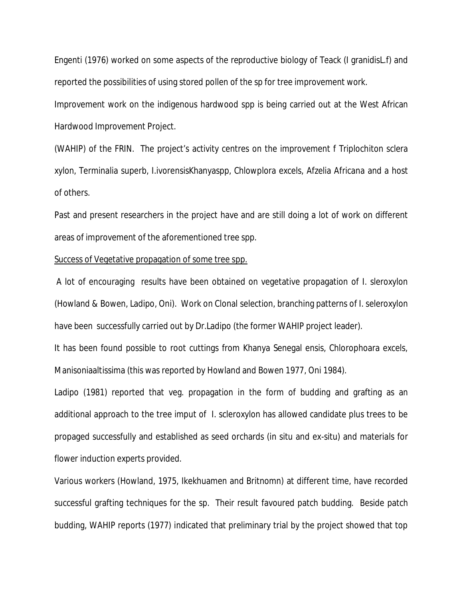Engenti (1976) worked on some aspects of the reproductive biology of Teack (I granidisL.f) and reported the possibilities of using stored pollen of the sp for tree improvement work.

Improvement work on the indigenous hardwood spp is being carried out at the West African Hardwood Improvement Project.

(WAHIP) of the FRIN. The project's activity centres on the improvement f Triplochiton sclera xylon, Terminalia superb, I.ivorensisKhanyaspp, Chlowplora excels, Afzelia Africana and a host of others.

Past and present researchers in the project have and are still doing a lot of work on different areas of improvement of the aforementioned tree spp.

### Success of Vegetative propagation of some tree spp.

A lot of encouraging results have been obtained on vegetative propagation of I. sleroxylon (Howland & Bowen, Ladipo, Oni). Work on Clonal selection, branching patterns of I. seleroxylon have been successfully carried out by Dr.Ladipo (the former WAHIP project leader).

It has been found possible to root cuttings from Khanya Senegal ensis, Chlorophoara excels, Manisoniaaltissima (this was reported by Howland and Bowen 1977, Oni 1984).

Ladipo (1981) reported that veg. propagation in the form of budding and grafting as an additional approach to the tree imput of I. scleroxylon has allowed candidate plus trees to be propaged successfully and established as seed orchards (in situ and ex-situ) and materials for flower induction experts provided.

Various workers (Howland, 1975, Ikekhuamen and Britnomn) at different time, have recorded successful grafting techniques for the sp. Their result favoured patch budding. Beside patch budding, WAHIP reports (1977) indicated that preliminary trial by the project showed that top